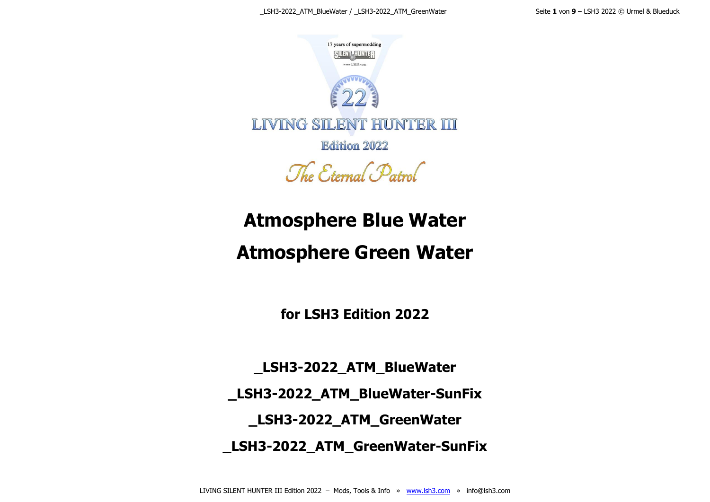

The Eternal Patrol

# **Atmosphere Blue Water**

# **Atmosphere Green Water**

**for LSH3 Edition 2022**

**\_LSH3-2022\_ATM\_BlueWater \_LSH3-2022\_ATM\_BlueWater-SunFix \_LSH3-2022\_ATM\_GreenWater \_LSH3-2022\_ATM\_GreenWater-SunFix**

LIVING SILENT HUNTER III Edition 2022 - Mods, Tools & Info » [www.lsh3.com](http://www.lsh3.com/) » info@lsh3.com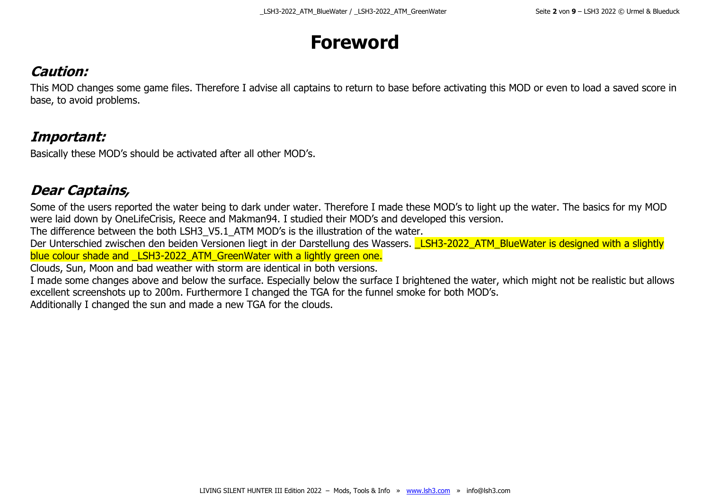### **Foreword**

#### **Caution:**

This MOD changes some game files. Therefore I advise all captains to return to base before activating this MOD or even to load a saved score in base, to avoid problems.

#### **Important:**

Basically these MOD's should be activated after all other MOD's.

#### **Dear Captains,**

Some of the users reported the water being to dark under water. Therefore I made these MOD's to light up the water. The basics for my MOD were laid down by OneLifeCrisis, Reece and Makman94. I studied their MOD's and developed this version.

The difference between the both LSH3\_V5.1\_ATM MOD's is the illustration of the water.

Der Unterschied zwischen den beiden Versionen liegt in der Darstellung des Wassers. LSH3-2022 ATM\_BlueWater is designed with a slightly blue colour shade and LSH3-2022 ATM GreenWater with a lightly green one.

Clouds, Sun, Moon and bad weather with storm are identical in both versions.

I made some changes above and below the surface. Especially below the surface I brightened the water, which might not be realistic but allows excellent screenshots up to 200m. Furthermore I changed the TGA for the funnel smoke for both MOD's.

Additionally I changed the sun and made a new TGA for the clouds.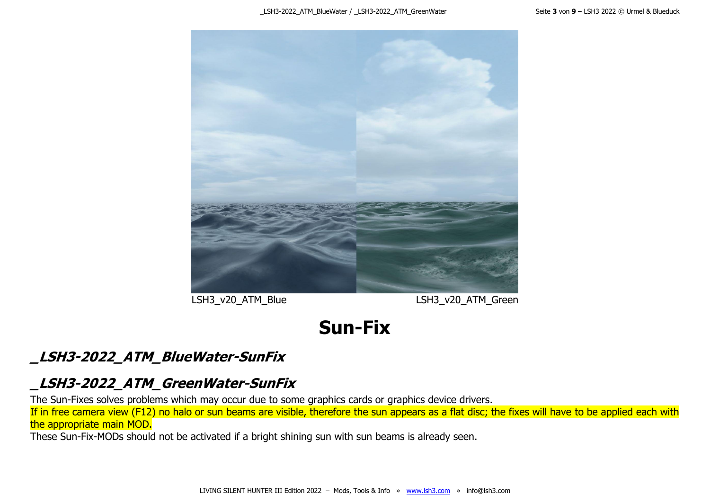

LSH3\_v20\_ATM\_Blue LSH3\_v20\_ATM\_Green

# **Sun-Fix**

#### **\_LSH3-2022\_ATM\_BlueWater-SunFix**

#### **\_LSH3-2022\_ATM\_GreenWater-SunFix**

The Sun-Fixes solves problems which may occur due to some graphics cards or graphics device drivers.

If in free camera view (F12) no halo or sun beams are visible, therefore the sun appears as a flat disc; the fixes will have to be applied each with the appropriate main MOD.

These Sun-Fix-MODs should not be activated if a bright shining sun with sun beams is already seen.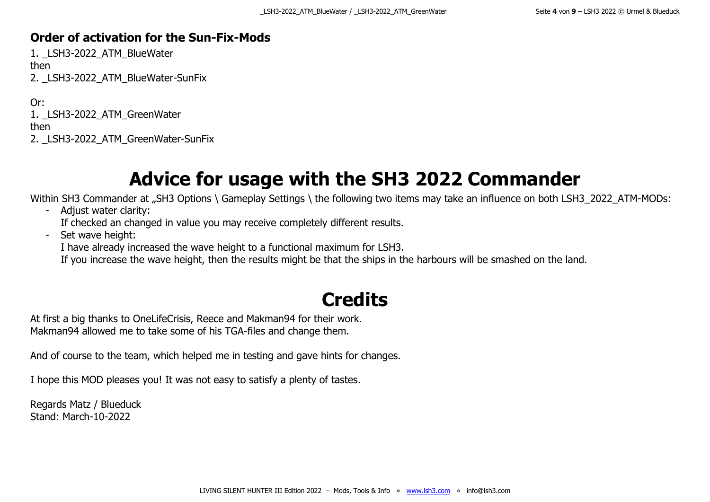#### **Order of activation for the Sun-Fix-Mods**

1. LSH3-2022 ATM BlueWater then 2. LSH3-2022 ATM BlueWater-SunFix

Or: 1. LSH3-2022 ATM GreenWater then 2. LSH3-2022 ATM GreenWater-SunFix

**Advice for usage with the SH3 2022 Commander**

Within SH3 Commander at "SH3 Options \ Gameplay Settings \ the following two items may take an influence on both LSH3\_2022\_ATM-MODs:

- Adjust water clarity:

If checked an changed in value you may receive completely different results.

- Set wave height:

I have already increased the wave height to a functional maximum for LSH3.

If you increase the wave height, then the results might be that the ships in the harbours will be smashed on the land.

# **Credits**

At first a big thanks to OneLifeCrisis, Reece and Makman94 for their work. Makman94 allowed me to take some of his TGA-files and change them.

And of course to the team, which helped me in testing and gave hints for changes.

I hope this MOD pleases you! It was not easy to satisfy a plenty of tastes.

Regards Matz / Blueduck Stand: March-10-2022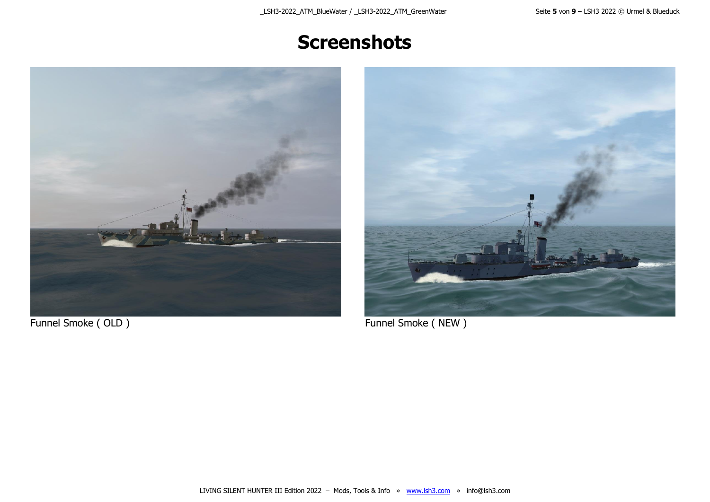### **Screenshots**





Funnel Smoke ( OLD ) Funnel Smoke ( NEW )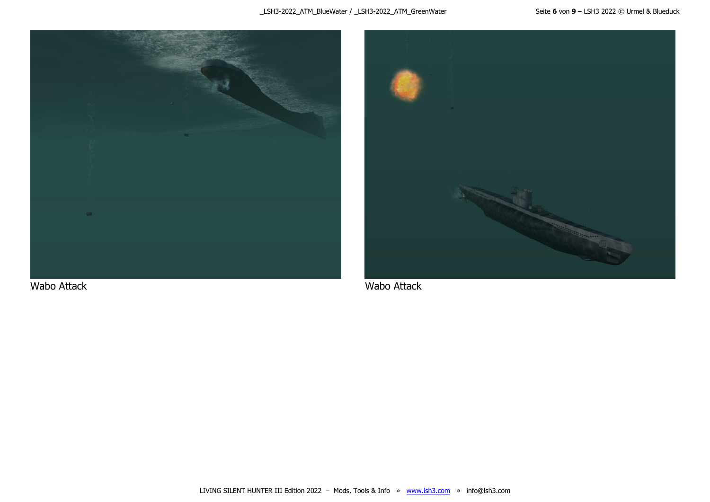

Wabo Attack Wabo Attack Wabo Attack Wabo Attack

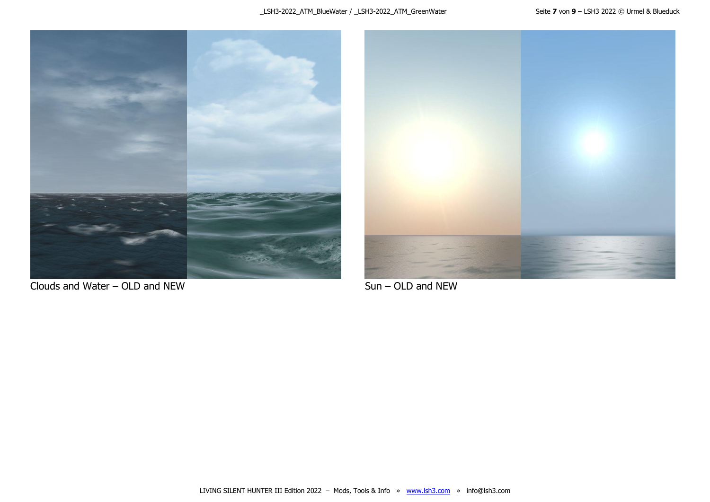

Clouds and Water – OLD and NEW Sun – OLD and NEW

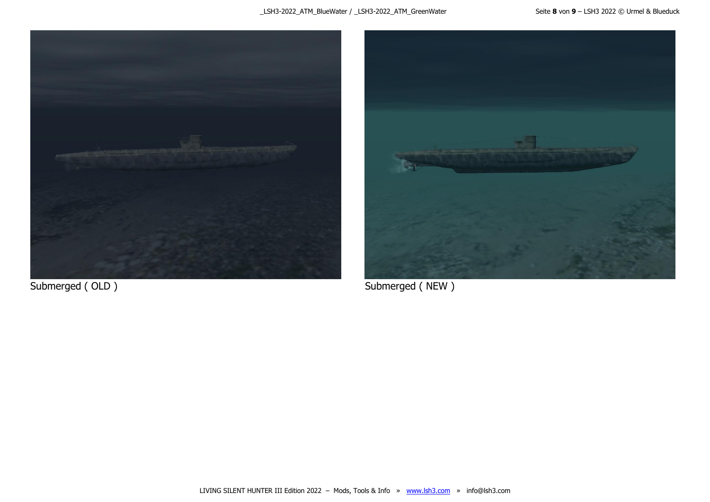